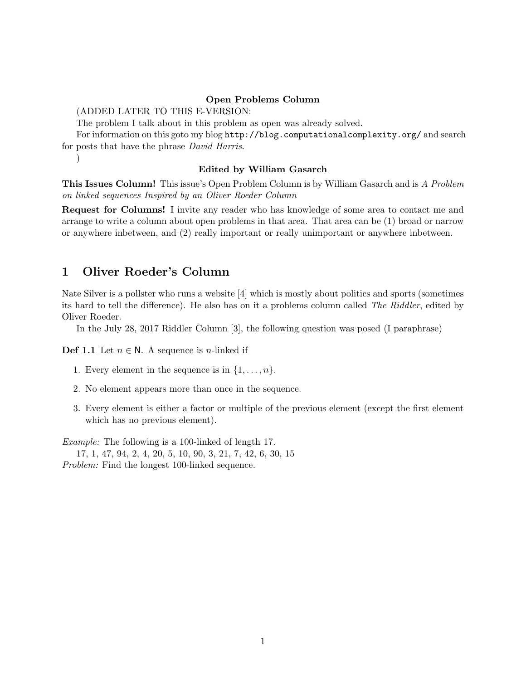### Open Problems Column

(ADDED LATER TO THIS E-VERSION:

The problem I talk about in this problem as open was already solved.

For information on this goto my blog http://blog.computationalcomplexity.org/ and search for posts that have the phrase David Harris.

)

### Edited by William Gasarch

This Issues Column! This issue's Open Problem Column is by William Gasarch and is A Problem on linked sequences Inspired by an Oliver Roeder Column

Request for Columns! I invite any reader who has knowledge of some area to contact me and arrange to write a column about open problems in that area. That area can be (1) broad or narrow or anywhere inbetween, and (2) really important or really unimportant or anywhere inbetween.

### 1 Oliver Roeder's Column

Nate Silver is a pollster who runs a website [4] which is mostly about politics and sports (sometimes its hard to tell the difference). He also has on it a problems column called The Riddler, edited by Oliver Roeder.

In the July 28, 2017 Riddler Column [3], the following question was posed (I paraphrase)

**Def 1.1** Let  $n \in \mathbb{N}$ . A sequence is *n*-linked if

- 1. Every element in the sequence is in  $\{1,\ldots,n\}$ .
- 2. No element appears more than once in the sequence.
- 3. Every element is either a factor or multiple of the previous element (except the first element which has no previous element).

Example: The following is a 100-linked of length 17. 17, 1, 47, 94, 2, 4, 20, 5, 10, 90, 3, 21, 7, 42, 6, 30, 15

Problem: Find the longest 100-linked sequence.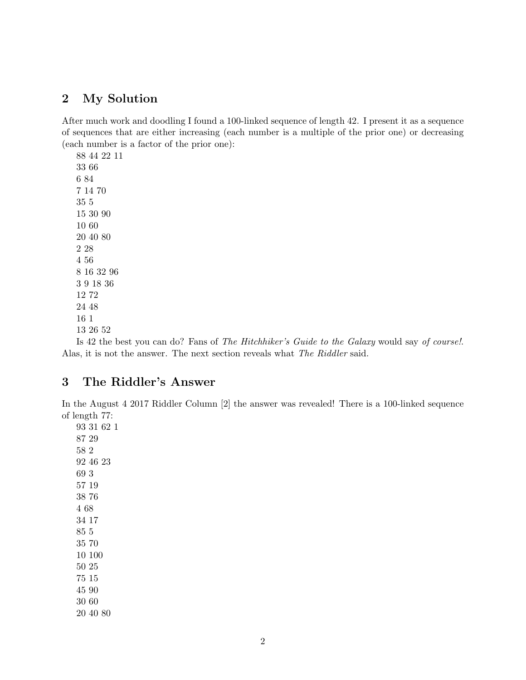# 2 My Solution

After much work and doodling I found a 100-linked sequence of length 42. I present it as a sequence of sequences that are either increasing (each number is a multiple of the prior one) or decreasing (each number is a factor of the prior one):

Is 42 the best you can do? Fans of The Hitchhiker's Guide to the Galaxy would say of course!. Alas, it is not the answer. The next section reveals what The Riddler said.

# 3 The Riddler's Answer

In the August 4 2017 Riddler Column [2] the answer was revealed! There is a 100-linked sequence of length 77: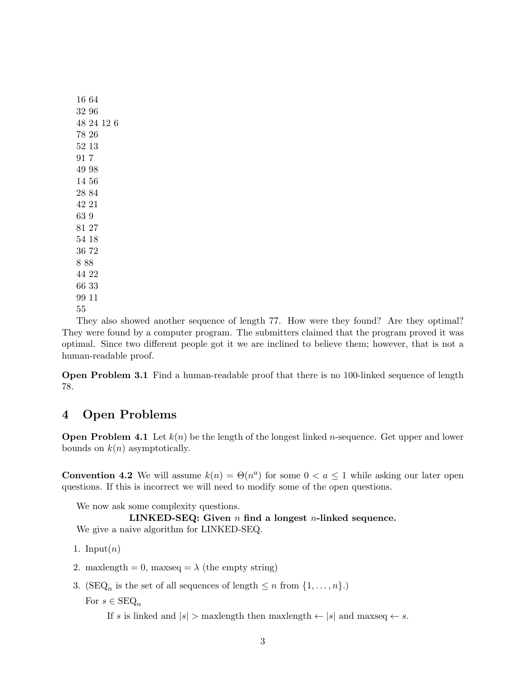They also showed another sequence of length 77. How were they found? Are they optimal? They were found by a computer program. The submitters claimed that the program proved it was optimal. Since two different people got it we are inclined to believe them; however, that is not a human-readable proof.

Open Problem 3.1 Find a human-readable proof that there is no 100-linked sequence of length 78.

# 4 Open Problems

**Open Problem 4.1** Let  $k(n)$  be the length of the longest linked *n*-sequence. Get upper and lower bounds on  $k(n)$  asymptotically.

**Convention 4.2** We will assume  $k(n) = \Theta(n^a)$  for some  $0 < a \le 1$  while asking our later open questions. If this is incorrect we will need to modify some of the open questions.

We now ask some complexity questions.

## LINKED-SEQ: Given  $n$  find a longest  $n$ -linked sequence.

We give a naive algorithm for LINKED-SEQ.

- 1. Input $(n)$
- 2. maxlength = 0, maxseq =  $\lambda$  (the empty string)
- 3. (SEQ<sub>n</sub> is the set of all sequences of length  $\leq n$  from  $\{1, \ldots, n\}$ .)

For  $s \in \text{SEQ}_n$ 

If s is linked and  $|s| >$  maxlength then maxlength  $\leftarrow |s|$  and maxseq  $\leftarrow s$ .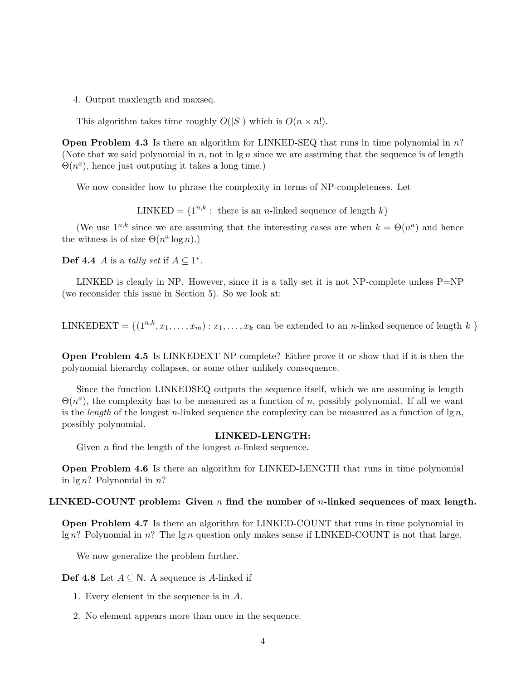4. Output maxlength and maxseq.

This algorithm takes time roughly  $O(|S|)$  which is  $O(n \times n!)$ .

Open Problem 4.3 Is there an algorithm for LINKED-SEQ that runs in time polynomial in n? (Note that we said polynomial in n, not in  $\lg n$  since we are assuming that the sequence is of length  $\Theta(n^a)$ , hence just outputing it takes a long time.)

We now consider how to phrase the complexity in terms of NP-completeness. Let

LINKED =  $\{1^{n,k}:$  there is an *n*-linked sequence of length  $k\}$ 

(We use  $1^{n,k}$  since we are assuming that the interesting cases are when  $k = \Theta(n^a)$  and hence the witness is of size  $\Theta(n^a \log n)$ .)

**Def 4.4** *A* is a *tally set* if  $A \subseteq 1^*$ .

LINKED is clearly in NP. However, since it is a tally set it is not NP-complete unless P=NP (we reconsider this issue in Section 5). So we look at:

LINKEDEXT =  $\{(1^{n,k}, x_1, \ldots, x_m) : x_1, \ldots, x_k \text{ can be extended to an } n\text{-linked sequence of length } k \}$ 

Open Problem 4.5 Is LINKEDEXT NP-complete? Either prove it or show that if it is then the polynomial hierarchy collapses, or some other unlikely consequence.

Since the function LINKEDSEQ outputs the sequence itself, which we are assuming is length  $\Theta(n^a)$ , the complexity has to be measured as a function of n, possibly polynomial. If all we want is the *length* of the longest *n*-linked sequence the complexity can be measured as a function of  $\lg n$ , possibly polynomial.

#### LINKED-LENGTH:

Given  $n$  find the length of the longest  $n$ -linked sequence.

Open Problem 4.6 Is there an algorithm for LINKED-LENGTH that runs in time polynomial in  $\lg n$ ? Polynomial in  $n$ ?

#### LINKED-COUNT problem: Given  $n$  find the number of  $n$ -linked sequences of max length.

Open Problem 4.7 Is there an algorithm for LINKED-COUNT that runs in time polynomial in  $\lg n$ ? Polynomial in n? The  $\lg n$  question only makes sense if LINKED-COUNT is not that large.

We now generalize the problem further.

**Def 4.8** Let  $A \subseteq N$ . A sequence is A-linked if

- 1. Every element in the sequence is in A.
- 2. No element appears more than once in the sequence.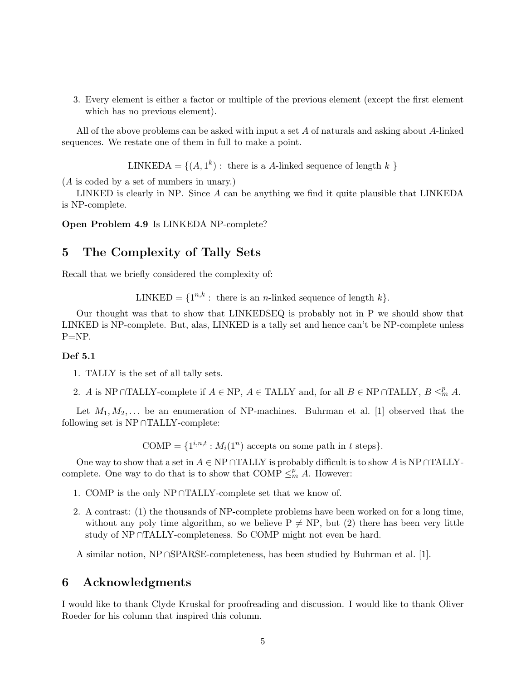3. Every element is either a factor or multiple of the previous element (except the first element which has no previous element).

All of the above problems can be asked with input a set A of naturals and asking about A-linked sequences. We restate one of them in full to make a point.

LINKEDA = { $(A, 1<sup>k</sup>)$  : there is a A-linked sequence of length k }

(A is coded by a set of numbers in unary.)

LINKED is clearly in NP. Since  $A$  can be anything we find it quite plausible that LINKEDA is NP-complete.

Open Problem 4.9 Is LINKEDA NP-complete?

## 5 The Complexity of Tally Sets

Recall that we briefly considered the complexity of:

LINKED =  $\{1^{n,k} : \text{ there is an } n\text{-linked sequence of length } k\}.$ 

Our thought was that to show that LINKEDSEQ is probably not in P we should show that LINKED is NP-complete. But, alas, LINKED is a tally set and hence can't be NP-complete unless  $P=NP$ .

### Def 5.1

1. TALLY is the set of all tally sets.

2. A is NP∩TALLY-complete if  $A \in \text{NP}$ ,  $A \in \text{TLLY}$  and, for all  $B \in \text{NP} \cap \text{TLLY}$ ,  $B \leq^p_m A$ .

Let  $M_1, M_2, \ldots$  be an enumeration of NP-machines. Buhrman et al. [1] observed that the following set is NP ∩TALLY-complete:

COMP = { $1^{i,n,t}$  :  $M_i(1^n)$  accepts on some path in t steps}.

One way to show that a set in  $A \in \text{NP} \cap \text{TALLY}$  is probably difficult is to show A is NP∩TALLYcomplete. One way to do that is to show that COMP  $\leq^p_m A$ . However:

- 1. COMP is the only NP ∩TALLY-complete set that we know of.
- 2. A contrast: (1) the thousands of NP-complete problems have been worked on for a long time, without any poly time algorithm, so we believe  $P \neq NP$ , but (2) there has been very little study of NP ∩TALLY-completeness. So COMP might not even be hard.

A similar notion, NP ∩SPARSE-completeness, has been studied by Buhrman et al. [1].

### 6 Acknowledgments

I would like to thank Clyde Kruskal for proofreading and discussion. I would like to thank Oliver Roeder for his column that inspired this column.